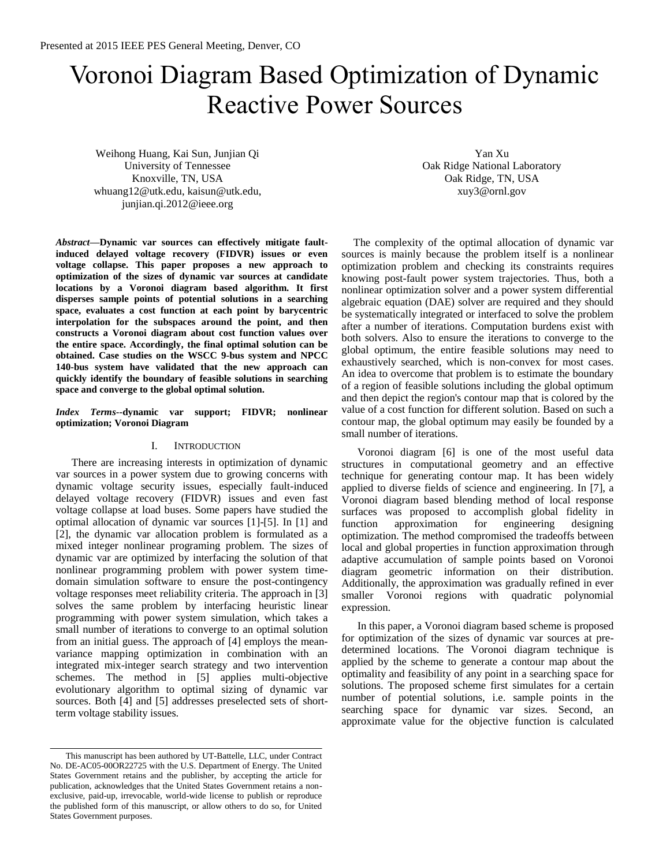# Voronoi Diagram Based Optimization of Dynamic Reactive Power Sources

Weihong Huang, Kai Sun, Junjian Qi University of Tennessee Knoxville, TN, USA whuang12@utk.edu, kaisun@utk.edu, junjian.qi.2012@ieee.org

Yan Xu Oak Ridge National Laboratory Oak Ridge, TN, USA xuy3@ornl.gov

*Abstract***—Dynamic var sources can effectively mitigate faultinduced delayed voltage recovery (FIDVR) issues or even voltage collapse. This paper proposes a new approach to optimization of the sizes of dynamic var sources at candidate locations by a Voronoi diagram based algorithm. It first disperses sample points of potential solutions in a searching space, evaluates a cost function at each point by barycentric interpolation for the subspaces around the point, and then constructs a Voronoi diagram about cost function values over the entire space. Accordingly, the final optimal solution can be obtained. Case studies on the WSCC 9-bus system and NPCC 140-bus system have validated that the new approach can quickly identify the boundary of feasible solutions in searching space and converge to the global optimal solution.**

### *Index Terms***--dynamic var support; FIDVR; nonlinear optimization; Voronoi Diagram**

## I. INTRODUCTION

There are increasing interests in optimization of dynamic var sources in a power system due to growing concerns with dynamic voltage security issues, especially fault-induced delayed voltage recovery (FIDVR) issues and even fast voltage collapse at load buses. Some papers have studied the optimal allocation of dynamic var sources [1]-[5]. In [1] and [2], the dynamic var allocation problem is formulated as a mixed integer nonlinear programing problem. The sizes of dynamic var are optimized by interfacing the solution of that nonlinear programming problem with power system timedomain simulation software to ensure the post-contingency voltage responses meet reliability criteria. The approach in [3] solves the same problem by interfacing heuristic linear programming with power system simulation, which takes a small number of iterations to converge to an optimal solution from an initial guess. The approach of [4] employs the meanvariance mapping optimization in combination with an integrated mix-integer search strategy and two intervention schemes. The method in [5] applies multi-objective evolutionary algorithm to optimal sizing of dynamic var sources. Both [4] and [5] addresses preselected sets of shortterm voltage stability issues.

The complexity of the optimal allocation of dynamic var sources is mainly because the problem itself is a nonlinear optimization problem and checking its constraints requires knowing post-fault power system trajectories. Thus, both a nonlinear optimization solver and a power system differential algebraic equation (DAE) solver are required and they should be systematically integrated or interfaced to solve the problem after a number of iterations. Computation burdens exist with both solvers. Also to ensure the iterations to converge to the global optimum, the entire feasible solutions may need to exhaustively searched, which is non-convex for most cases. An idea to overcome that problem is to estimate the boundary of a region of feasible solutions including the global optimum and then depict the region's contour map that is colored by the value of a cost function for different solution. Based on such a contour map, the global optimum may easily be founded by a small number of iterations.

Voronoi diagram [6] is one of the most useful data structures in computational geometry and an effective technique for generating contour map. It has been widely applied to diverse fields of science and engineering. In [7], a Voronoi diagram based blending method of local response surfaces was proposed to accomplish global fidelity in function approximation for engineering designing optimization. The method compromised the tradeoffs between local and global properties in function approximation through adaptive accumulation of sample points based on Voronoi diagram geometric information on their distribution. Additionally, the approximation was gradually refined in ever smaller Voronoi regions with quadratic polynomial expression.

In this paper, a Voronoi diagram based scheme is proposed for optimization of the sizes of dynamic var sources at predetermined locations. The Voronoi diagram technique is applied by the scheme to generate a contour map about the optimality and feasibility of any point in a searching space for solutions. The proposed scheme first simulates for a certain number of potential solutions, i.e. sample points in the searching space for dynamic var sizes. Second, an approximate value for the objective function is calculated

This manuscript has been authored by UT-Battelle, LLC, under Contract No. DE-AC05-00OR22725 with the U.S. Department of Energy. The United States Government retains and the publisher, by accepting the article for publication, acknowledges that the United States Government retains a nonexclusive, paid-up, irrevocable, world-wide license to publish or reproduce the published form of this manuscript, or allow others to do so, for United States Government purposes.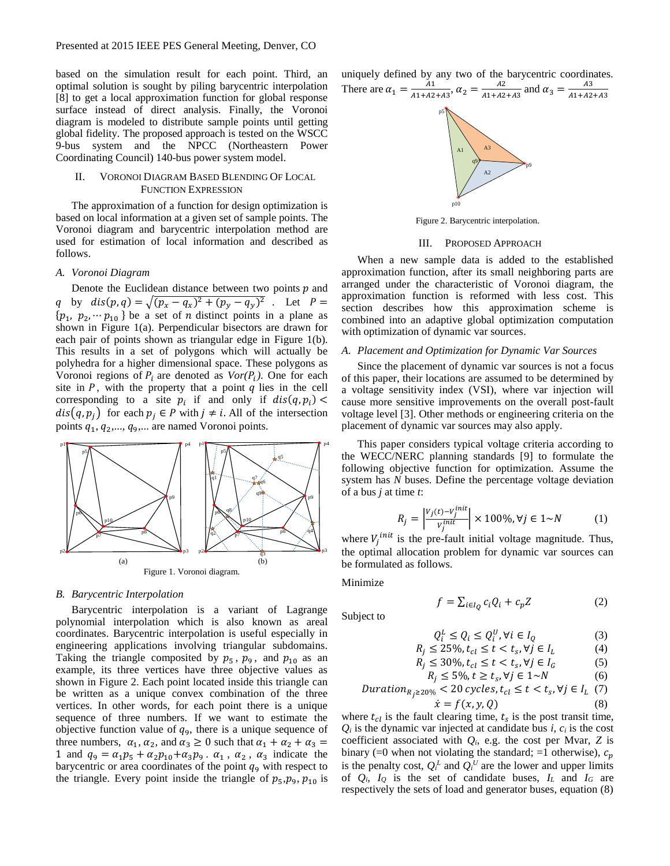based on the simulation result for each point. Third, an optimal solution is sought by piling barycentric interpolation [8] to get a local approximation function for global response surface instead of direct analysis. Finally, the Voronoi diagram is modeled to distribute sample points until getting global fidelity. The proposed approach is tested on the WSCC 9-bus system and the NPCC (Northeastern Power Coordinating Council) 140-bus power system model.

# II. VORONOI DIAGRAM BASED BLENDING OF LOCAL FUNCTION EXPRESSION

The approximation of a function for design optimization is based on local information at a given set of sample points. The Voronoi diagram and barycentric interpolation method are used for estimation of local information and described as follows.

#### *A. Voronoi Diagram*

Denote the Euclidean distance between two points  $p$  and q by  $dis(p, q) = \sqrt{(p_x - q_x)^2 + (p_y - q_y)^2}$ . Let  $P =$  $\{p_1, p_2, \dots p_{10}\}$  be a set of *n* distinct points in a plane as shown in Figure 1(a). Perpendicular bisectors are drawn for each pair of points shown as triangular edge in Figure 1(b). This results in a set of polygons which will actually be polyhedra for a higher dimensional space. These polygons as Voronoi regions of  $P_i$  are denoted as  $Vor(P_i)$ . One for each site in  $P$ , with the property that a point  $q$  lies in the cell corresponding to a site  $p_i$  if and only if  $dis(q, p_i)$  <  $dis(q, p_i)$  for each  $p_i \in P$  with  $j \neq i$ . All of the intersection points  $q_1, q_2, \ldots, q_9, \ldots$  are named Voronoi points.



## *B. Barycentric Interpolation*

Barycentric interpolation is a variant of Lagrange polynomial interpolation which is also known as areal coordinates. Barycentric interpolation is useful especially in engineering applications involving triangular subdomains. Taking the triangle composited by  $p_5$ ,  $p_9$ , and  $p_{10}$  as an example, its three vertices have three objective values as shown in Figure 2. Each point located inside this triangle can be written as a unique convex combination of the three vertices. In other words, for each point there is a unique sequence of three numbers. If we want to estimate the objective function value of  $q_9$ , there is a unique sequence of three numbers,  $\alpha_1, \alpha_2$ , and  $\alpha_3 \ge 0$  such that  $\alpha_1 + \alpha_2 + \alpha_3 =$ 1 and  $q_9 = \alpha_1 p_5 + \alpha_2 p_{10} + \alpha_3 p_9$ .  $\alpha_1$ ,  $\alpha_2$ ,  $\alpha_3$  indicate the barycentric or area coordinates of the point  $q_9$  with respect to the triangle. Every point inside the triangle of  $p_5, p_9, p_{10}$  is uniquely defined by any two of the barycentric coordinates. There are  $\alpha_1 = \frac{A_1}{41 + A_2}$  $\frac{A1}{A1+A2+A3}, \alpha_2 = \frac{A2}{A1+A2}$  $\frac{A2}{A1+A2+A3}$  and  $\alpha_3 = \frac{A3}{A1+A2}$  $A1 + A2 + A3$ p5 p9  $\leftrightarrow$ \* A1 A2 A3

Figure 2. Barycentric interpolation.

p10

\*

## III. PROPOSED APPROACH

When a new sample data is added to the established approximation function, after its small neighboring parts are arranged under the characteristic of Voronoi diagram, the approximation function is reformed with less cost. This section describes how this approximation scheme is combined into an adaptive global optimization computation with optimization of dynamic var sources.

#### *A. Placement and Optimization for Dynamic Var Sources*

Since the placement of dynamic var sources is not a focus of this paper, their locations are assumed to be determined by a voltage sensitivity index (VSI), where var injection will cause more sensitive improvements on the overall post-fault voltage level [3]. Other methods or engineering criteria on the placement of dynamic var sources may also apply.

This paper considers typical voltage criteria according to the WECC/NERC planning standards [9] to formulate the following objective function for optimization. Assume the system has *N* buses. Define the percentage voltage deviation of a bus *j* at time *t*:

$$
R_j = \left| \frac{v_j(t) - v_j^{init}}{v_j^{init}} \right| \times 100\%, \forall j \in 1 \sim N \tag{1}
$$

where  $V_j^{init}$  is the pre-fault initial voltage magnitude. Thus, the optimal allocation problem for dynamic var sources can be formulated as follows.

Minimize

$$
f = \sum_{i \in I_Q} c_i Q_i + c_p Z \tag{2}
$$

Subject to

$$
Q_i^L \le Q_i \le Q_i^U, \forall i \in I_Q \tag{3}
$$

$$
R_j \le 25\%, t_{cl} \le t < t_s, \forall j \in I_L \tag{4}
$$
\n
$$
R_i < 30\% \ t_i < t < t, \ \forall j \in I_c \tag{5}
$$

$$
\leq 30\%, t_{cl} \leq t < t_s, \forall j \in I_G \tag{5}
$$

$$
R_j \le 5\%, t \ge t_s, \forall j \in 1 \sim N
$$
\n
$$
Duration_{R_j \ge 20\%} < 20 \text{ cycles}, t_{cl} \le t < t_s, \forall j \in I_L \tag{7}
$$

$$
\dot{x} = f(x, y, Q) \tag{8}
$$

where  $t_{cl}$  is the fault clearing time,  $t_s$  is the post transit time,  $Q_i$  is the dynamic var injected at candidate bus *i*,  $c_i$  is the cost coefficient associated with  $Q_i$ , e.g. the cost per Mvar,  $Z$  is binary (=0 when not violating the standard; =1 otherwise),  $c_n$ is the penalty cost,  $Q_i^L$  and  $Q_i^U$  are the lower and upper limits of  $Q_i$ ,  $I_Q$  is the set of candidate buses,  $I_L$  and  $I_G$  are respectively the sets of load and generator buses, equation (8)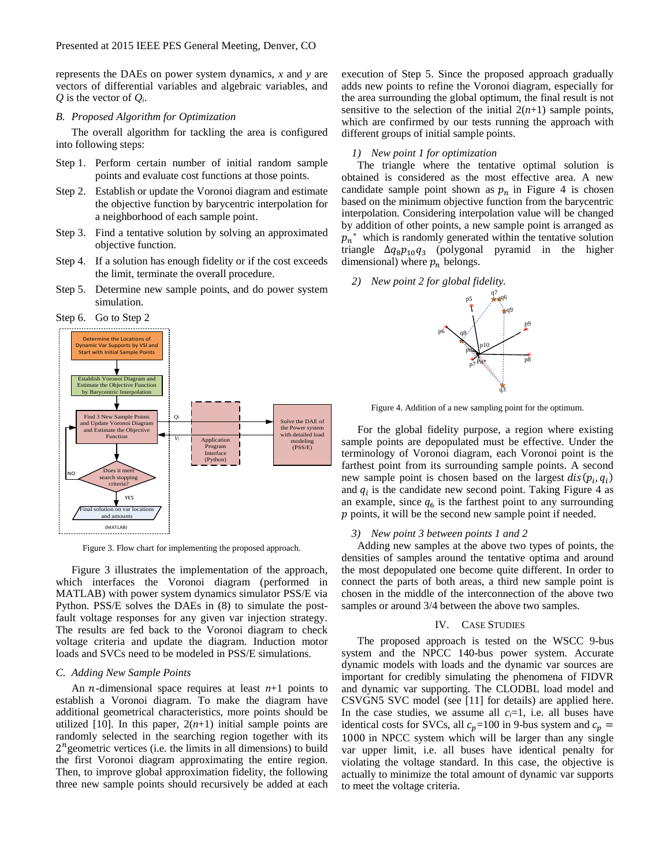represents the DAEs on power system dynamics, *x* and *y* are vectors of differential variables and algebraic variables, and  $Q$  is the vector of  $Q_i$ .

#### *B. Proposed Algorithm for Optimization*

The overall algorithm for tackling the area is configured into following steps:

- Step 1. Perform certain number of initial random sample points and evaluate cost functions at those points.
- Step 2. Establish or update the Voronoi diagram and estimate the objective function by barycentric interpolation for a neighborhood of each sample point.
- Step 3. Find a tentative solution by solving an approximated objective function.
- Step 4. If a solution has enough fidelity or if the cost exceeds the limit, terminate the overall procedure.
- Step 5. Determine new sample points, and do power system simulation.





Figure 3. Flow chart for implementing the proposed approach.

Figure 3 illustrates the implementation of the approach, which interfaces the Voronoi diagram (performed in MATLAB) with power system dynamics simulator PSS/E via Python. PSS/E solves the DAEs in (8) to simulate the postfault voltage responses for any given var injection strategy. The results are fed back to the Voronoi diagram to check voltage criteria and update the diagram. Induction motor loads and SVCs need to be modeled in PSS/E simulations.

## *C. Adding New Sample Points*

An *n*-dimensional space requires at least  $n+1$  points to establish a Voronoi diagram. To make the diagram have additional geometrical characteristics, more points should be utilized [10]. In this paper,  $2(n+1)$  initial sample points are randomly selected in the searching region together with its  $2<sup>n</sup>$  geometric vertices (i.e. the limits in all dimensions) to build the first Voronoi diagram approximating the entire region. Then, to improve global approximation fidelity, the following three new sample points should recursively be added at each

execution of Step 5. Since the proposed approach gradually adds new points to refine the Voronoi diagram, especially for the area surrounding the global optimum, the final result is not sensitive to the selection of the initial  $2(n+1)$  sample points, which are confirmed by our tests running the approach with different groups of initial sample points.

#### *1) New point 1 for optimization*

The triangle where the tentative optimal solution is obtained is considered as the most effective area. A new candidate sample point shown as  $p_n$  in Figure 4 is chosen based on the minimum objective function from the barycentric interpolation. Considering interpolation value will be changed by addition of other points, a new sample point is arranged as  $p_n^*$  which is randomly generated within the tentative solution triangle  $\Delta q_8 p_{10} q_3$  (polygonal pyramid in the higher dimensional) where  $p_n$  belongs.

*2) New point 2 for global fidelity.*



Figure 4. Addition of a new sampling point for the optimum.

For the global fidelity purpose, a region where existing sample points are depopulated must be effective. Under the terminology of Voronoi diagram, each Voronoi point is the farthest point from its surrounding sample points. A second new sample point is chosen based on the largest  $dis(p_i, q_i)$ and  $q_i$  is the candidate new second point. Taking Figure 4 as an example, since  $q_6$  is the farthest point to any surrounding  $p$  points, it will be the second new sample point if needed.

#### *3) New point 3 between points 1 and 2*

Adding new samples at the above two types of points, the densities of samples around the tentative optima and around the most depopulated one become quite different. In order to connect the parts of both areas, a third new sample point is chosen in the middle of the interconnection of the above two samples or around 3/4 between the above two samples.

## IV. CASE STUDIES

The proposed approach is tested on the WSCC 9-bus system and the NPCC 140-bus power system. Accurate dynamic models with loads and the dynamic var sources are important for credibly simulating the phenomena of FIDVR and dynamic var supporting. The CLODBL load model and CSVGN5 SVC model (see [11] for details) are applied here. In the case studies, we assume all  $c_i=1$ , i.e. all buses have identical costs for SVCs, all  $c_p = 100$  in 9-bus system and  $c_p =$ 1000 in NPCC system which will be larger than any single var upper limit, i.e. all buses have identical penalty for violating the voltage standard. In this case, the objective is actually to minimize the total amount of dynamic var supports to meet the voltage criteria.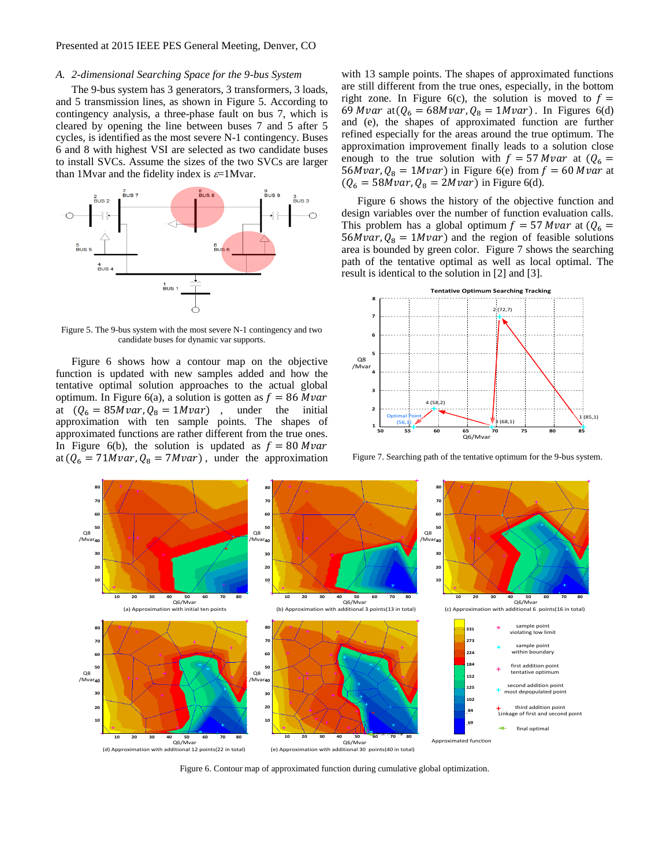# *A. 2-dimensional Searching Space for the 9-bus System*

The 9-bus system has 3 generators, 3 transformers, 3 loads, and 5 transmission lines, as shown in Figure 5. According to contingency analysis, a three-phase fault on bus 7, which is cleared by opening the line between buses 7 and 5 after 5 cycles, is identified as the most severe N-1 contingency. Buses 6 and 8 with highest VSI are selected as two candidate buses to install SVCs. Assume the sizes of the two SVCs are larger than 1 Mvar and the fidelity index is  $\varepsilon$ =1 Mvar.



Figure 5. The 9-bus system with the most severe N-1 contingency and two candidate buses for dynamic var supports.

Figure 6 shows how a contour map on the objective function is updated with new samples added and how the tentative optimal solution approaches to the actual global optimum. In Figure 6(a), a solution is gotten as  $f = 86 Mvar$ at  $(Q_6 = 85Mvar, Q_8 = 1Mvar)$ , under the initial approximation with ten sample points. The shapes of approximated functions are rather different from the true ones. In Figure 6(b), the solution is updated as  $f = 80$  Mvar at  $(Q_6 = 71Mvar, Q_8 = 7Mvar)$ , under the approximation with 13 sample points. The shapes of approximated functions are still different from the true ones, especially, in the bottom right zone. In Figure 6(c), the solution is moved to  $f =$ 69 *Mvar* at  $(Q_6 = 68Mvar, Q_8 = 1Mvar)$ . In Figures 6(d) and (e), the shapes of approximated function are further refined especially for the areas around the true optimum. The approximation improvement finally leads to a solution close enough to the true solution with  $f = 57 Mvar$  at  $(Q<sub>6</sub> =$ 56*Mvar*,  $Q_8 = 1Mvar$ ) in Figure 6(e) from  $f = 60 Mvar$  at  $(Q_6 = 58Mvar, Q_8 = 2Mvar)$  in Figure 6(d).

Figure 6 shows the history of the objective function and design variables over the number of function evaluation calls. This problem has a global optimum  $f = 57 Mvar$  at  $(Q_6 =$ 56*Mvar*,  $Q_8 = 1Mvar$ ) and the region of feasible solutions area is bounded by green color. Figure 7 shows the searching path of the tentative optimal as well as local optimal. The result is identical to the solution in [2] and [3].



Figure 7. Searching path of the tentative optimum for the 9-bus system.



Figure 6. Contour map of approximated function during cumulative global optimization.